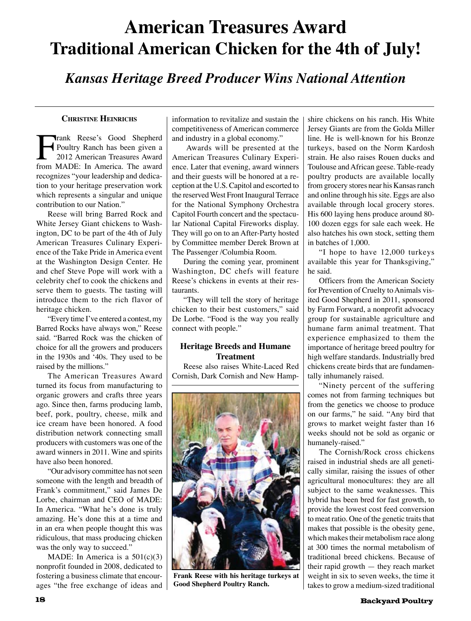## **American Treasures Award Traditional American Chicken for the 4th of July!**

*Kansas Heritage Breed Producer Wins National Attention*

#### **Christine Heinrichs**

**Frank Reese's Good Shepherd<br>Poultry Ranch has been given a<br>2012 American Treasures Award<br>from MADE: In America. The award** Poultry Ranch has been given a 2012 American Treasures Award from MADE: In America. The award recognizes "your leadership and dedication to your heritage preservation work which represents a singular and unique contribution to our Nation."

Reese will bring Barred Rock and White Jersey Giant chickens to Washington, DC to be part of the 4th of July American Treasures Culinary Experience of the Take Pride in America event at the Washington Design Center. He and chef Steve Pope will work with a celebrity chef to cook the chickens and serve them to guests. The tasting will introduce them to the rich flavor of heritage chicken.

"Every time I've entered a contest, my Barred Rocks have always won," Reese said. "Barred Rock was the chicken of choice for all the growers and producers in the 1930s and '40s. They used to be raised by the millions."

The American Treasures Award turned its focus from manufacturing to organic growers and crafts three years ago. Since then, farms producing lamb, beef, pork, poultry, cheese, milk and ice cream have been honored. A food distribution network connecting small producers with customers was one of the award winners in 2011. Wine and spirits have also been honored.

"Our advisory committee has not seen someone with the length and breadth of Frank's commitment," said James De Lorbe, chairman and CEO of MADE: In America. "What he's done is truly amazing. He's done this at a time and in an era when people thought this was ridiculous, that mass producing chicken was the only way to succeed."

MADE: In America is a 501(c)(3) nonprofit founded in 2008, dedicated to fostering a business climate that encourages "the free exchange of ideas and information to revitalize and sustain the competitiveness of American commerce and industry in a global economy."

 Awards will be presented at the American Treasures Culinary Experience. Later that evening, award winners and their guests will be honored at a reception at the U.S. Capitol and escorted to the reserved West Front Inaugural Terrace for the National Symphony Orchestra Capitol Fourth concert and the spectacular National Capital Fireworks display. They will go on to an After-Party hosted by Committee member Derek Brown at The Passenger /Columbia Room.

During the coming year, prominent Washington, DC chefs will feature Reese's chickens in events at their restaurants.

"They will tell the story of heritage chicken to their best customers," said De Lorbe. "Food is the way you really connect with people."

### **Heritage Breeds and Humane Treatment**

Reese also raises White-Laced Red Cornish, Dark Cornish and New Hamp-



**Frank Reese with his heritage turkeys at Good Shepherd Poultry Ranch.**

shire chickens on his ranch. His White Jersey Giants are from the Golda Miller line. He is well-known for his Bronze turkeys, based on the Norm Kardosh strain. He also raises Rouen ducks and Toulouse and African geese. Table-ready poultry products are available locally from grocery stores near his Kansas ranch and online through his site. Eggs are also available through local grocery stores. His 600 laying hens produce around 80- 100 dozen eggs for sale each week. He also hatches his own stock, setting them in batches of 1,000.

"I hope to have 12,000 turkeys available this year for Thanksgiving," he said.

Officers from the American Society for Prevention of Cruelty to Animals visited Good Shepherd in 2011, sponsored by Farm Forward, a nonprofit advocacy group for sustainable agriculture and humane farm animal treatment. That experience emphasized to them the importance of heritage breed poultry for high welfare standards. Industrially bred chickens create birds that are fundamentally inhumanely raised.

"Ninety percent of the suffering comes not from farming techniques but from the genetics we choose to produce on our farms," he said. "Any bird that grows to market weight faster than 16 weeks should not be sold as organic or humanely-raised."

The Cornish/Rock cross chickens raised in industrial sheds are all genetically similar, raising the issues of other agricultural monocultures: they are all subject to the same weaknesses. This hybrid has been bred for fast growth, to provide the lowest cost feed conversion to meat ratio. One of the genetic traits that makes that possible is the obesity gene, which makes their metabolism race along at 300 times the normal metabolism of traditional breed chickens. Because of their rapid growth — they reach market weight in six to seven weeks, the time it takes to grow a medium-sized traditional